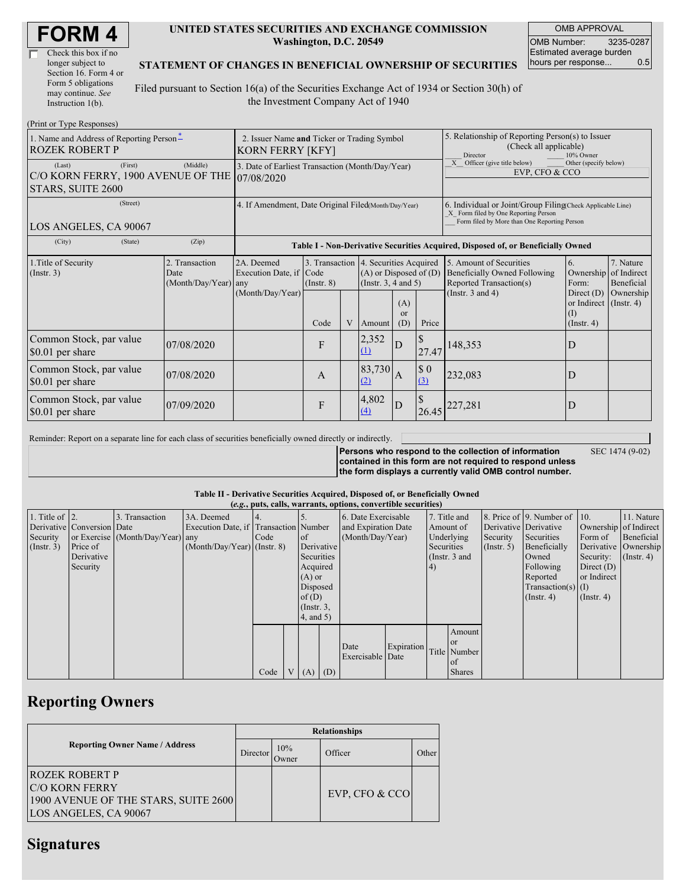| <b>FORM4</b> |
|--------------|
|--------------|

| Check this box if no  |
|-----------------------|
| longer subject to     |
| Section 16. Form 4 or |
| Form 5 obligations    |
| may continue. See     |
| Instruction 1(b).     |

#### **UNITED STATES SECURITIES AND EXCHANGE COMMISSION Washington, D.C. 20549**

OMB APPROVAL OMB Number: 3235-0287 Estimated average burden hours per response... 0.5

### **STATEMENT OF CHANGES IN BENEFICIAL OWNERSHIP OF SECURITIES**

Filed pursuant to Section 16(a) of the Securities Exchange Act of 1934 or Section 30(h) of the Investment Company Act of 1940

| (Print or Type Responses)                                                    |                                                                                                        |                                                                                  |                                 |   |                                                                                                                                              |                |                                                                                                                                                    |                                                                                                                    |                                                                                               |                                      |
|------------------------------------------------------------------------------|--------------------------------------------------------------------------------------------------------|----------------------------------------------------------------------------------|---------------------------------|---|----------------------------------------------------------------------------------------------------------------------------------------------|----------------|----------------------------------------------------------------------------------------------------------------------------------------------------|--------------------------------------------------------------------------------------------------------------------|-----------------------------------------------------------------------------------------------|--------------------------------------|
| 1. Name and Address of Reporting Person-<br><b>ROZEK ROBERT P</b>            | 2. Issuer Name and Ticker or Trading Symbol<br>KORN FERRY [KFY]                                        |                                                                                  |                                 |   |                                                                                                                                              |                | 5. Relationship of Reporting Person(s) to Issuer<br>(Check all applicable)<br>Director<br>10% Owner                                                |                                                                                                                    |                                                                                               |                                      |
| (First)<br>(Last)<br>C/O KORN FERRY, 1900 AVENUE OF THE<br>STARS, SUITE 2600 | 3. Date of Earliest Transaction (Month/Day/Year)<br>107/08/2020                                        |                                                                                  |                                 |   |                                                                                                                                              |                | X Officer (give title below)<br>Other (specify below)<br>EVP, CFO & CCO                                                                            |                                                                                                                    |                                                                                               |                                      |
| (Street)<br>LOS ANGELES, CA 90067                                            | 4. If Amendment, Date Original Filed(Month/Day/Year)                                                   |                                                                                  |                                 |   |                                                                                                                                              |                | 6. Individual or Joint/Group Filing Check Applicable Line)<br>X Form filed by One Reporting Person<br>Form filed by More than One Reporting Person |                                                                                                                    |                                                                                               |                                      |
| (State)<br>(City)                                                            | (Zip)                                                                                                  | Table I - Non-Derivative Securities Acquired, Disposed of, or Beneficially Owned |                                 |   |                                                                                                                                              |                |                                                                                                                                                    |                                                                                                                    |                                                                                               |                                      |
| 1. Title of Security<br>(Insert. 3)                                          | 2. Transaction<br>2A. Deemed<br>Execution Date, if<br>Date<br>(Month/Day/Year) any<br>(Month/Day/Year) |                                                                                  | Code<br>$($ Instr. $8)$<br>Code | V | 3. Transaction 4. Securities Acquired<br>$(A)$ or Disposed of $(D)$<br>(Instr. $3, 4$ and $5$ )<br>(A)<br>$\alpha$<br>Price<br>(D)<br>Amount |                |                                                                                                                                                    | 5. Amount of Securities<br><b>Beneficially Owned Following</b><br>Reported Transaction(s)<br>(Instr. $3$ and $4$ ) | 6.<br>Ownership of Indirect<br>Form:<br>Direct $(D)$<br>or Indirect (Instr. 4)<br>(Insert, 4) | 7. Nature<br>Beneficial<br>Ownership |
| Common Stock, par value<br>\$0.01 per share                                  | 07/08/2020                                                                                             |                                                                                  | F                               |   | 2,352<br>(1)                                                                                                                                 | D              | 27.47                                                                                                                                              | 148,353                                                                                                            | D                                                                                             |                                      |
| Common Stock, par value<br>\$0.01 per share                                  | 07/08/2020                                                                                             |                                                                                  | A                               |   | 83,730<br>(2)                                                                                                                                | $\overline{A}$ | \$0<br>(3)                                                                                                                                         | 232,083                                                                                                            | D                                                                                             |                                      |
| Common Stock, par value<br>\$0.01 per share                                  | 07/09/2020                                                                                             |                                                                                  | F                               |   | 4,802<br>(4)                                                                                                                                 | D              | S<br>26.45                                                                                                                                         | 227,281                                                                                                            | D                                                                                             |                                      |

Reminder: Report on a separate line for each class of securities beneficially owned directly or indirectly.

**Persons who respond to the collection of information contained in this form are not required to respond unless**

SEC 1474 (9-02)

**the form displays a currently valid OMB control number.**

### **Table II - Derivative Securities Acquired, Disposed of, or Beneficially Owned**

|                        | (e.g., puts, calls, warrants, options, convertible securities) |                                  |                                       |      |  |                 |     |                          |            |                 |               |                       |                          |                       |                      |
|------------------------|----------------------------------------------------------------|----------------------------------|---------------------------------------|------|--|-----------------|-----|--------------------------|------------|-----------------|---------------|-----------------------|--------------------------|-----------------------|----------------------|
| 1. Title of $\vert$ 2. |                                                                | 3. Transaction                   | 3A. Deemed                            |      |  |                 |     | 6. Date Exercisable      |            |                 | 7. Title and  |                       | 8. Price of 9. Number of | 110.                  | 11. Nature           |
|                        | Derivative Conversion Date                                     |                                  | Execution Date, if Transaction Number |      |  |                 |     | and Expiration Date      | Amount of  |                 |               | Derivative Derivative |                          | Ownership of Indirect |                      |
| Security               |                                                                | or Exercise (Month/Day/Year) any |                                       | Code |  | <sub>of</sub>   |     | (Month/Day/Year)         |            | Underlying      |               | Security              | Securities               | Form of               | Beneficial           |
| (Insert. 3)            | Price of                                                       |                                  | $(Month/Day/Year)$ (Instr. 8)         |      |  | Derivative      |     |                          |            | Securities      |               | $($ Instr. 5)         | Beneficially             |                       | Derivative Ownership |
|                        | Derivative                                                     |                                  |                                       |      |  | Securities      |     |                          |            | (Instr. $3$ and |               |                       | Owned                    | Security:             | $($ Instr. 4 $)$     |
|                        | Security                                                       |                                  |                                       |      |  | Acquired        |     |                          |            | 4)              |               |                       | Following                | Direct $(D)$          |                      |
|                        |                                                                |                                  |                                       |      |  | $(A)$ or        |     |                          |            |                 |               |                       | Reported                 | or Indirect           |                      |
|                        |                                                                |                                  |                                       |      |  | Disposed        |     |                          |            |                 |               |                       | $Transaction(s)$ (I)     |                       |                      |
|                        |                                                                |                                  |                                       |      |  | of $(D)$        |     |                          |            |                 |               |                       | $($ Instr. 4 $)$         | $($ Instr. 4 $)$      |                      |
|                        |                                                                |                                  |                                       |      |  | $($ Instr. $3,$ |     |                          |            |                 |               |                       |                          |                       |                      |
|                        |                                                                |                                  |                                       |      |  | $4$ , and 5)    |     |                          |            |                 |               |                       |                          |                       |                      |
|                        |                                                                |                                  |                                       |      |  |                 |     |                          |            |                 | Amount        |                       |                          |                       |                      |
|                        |                                                                |                                  |                                       |      |  |                 |     |                          |            |                 | <b>or</b>     |                       |                          |                       |                      |
|                        |                                                                |                                  |                                       |      |  |                 |     | Date<br>Exercisable Date | Expiration |                 | Title Number  |                       |                          |                       |                      |
|                        |                                                                |                                  |                                       |      |  |                 |     |                          |            |                 | of            |                       |                          |                       |                      |
|                        |                                                                |                                  |                                       | Code |  | V(A)            | (D) |                          |            |                 | <b>Shares</b> |                       |                          |                       |                      |

## **Reporting Owners**

|                                                                                                                  | <b>Relationships</b> |              |                  |       |  |  |  |  |
|------------------------------------------------------------------------------------------------------------------|----------------------|--------------|------------------|-------|--|--|--|--|
| <b>Reporting Owner Name / Address</b>                                                                            | Director             | 10%<br>Owner | Officer          | Other |  |  |  |  |
| <b>ROZEK ROBERT P</b><br><b>IC/O KORN FERRY</b><br>1900 AVENUE OF THE STARS, SUITE 2600<br>LOS ANGELES, CA 90067 |                      |              | EVP, CFO $&$ CCO |       |  |  |  |  |

### **Signatures**